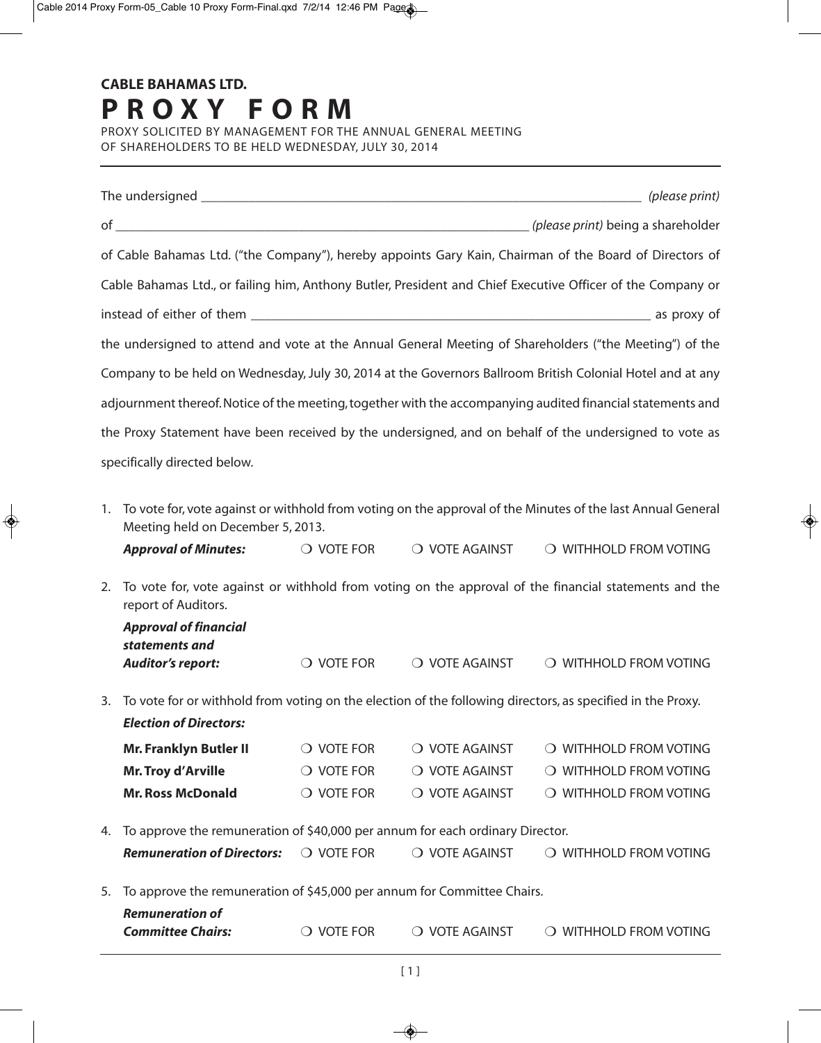PROXY SOLICITED BY MANAGEMENT FOR THE ANNUAL GENERAL MEETING OF SHAREHOLDERS TO BE HELD WEDNESDAY, JULY 30, 2014

| of Cable Bahamas Ltd. ("the Company"), hereby appoints Gary Kain, Chairman of the Board of Directors of     |                                                                                                                                                  |                     |                |                                                                                                             |  |
|-------------------------------------------------------------------------------------------------------------|--------------------------------------------------------------------------------------------------------------------------------------------------|---------------------|----------------|-------------------------------------------------------------------------------------------------------------|--|
| Cable Bahamas Ltd., or failing him, Anthony Butler, President and Chief Executive Officer of the Company or |                                                                                                                                                  |                     |                |                                                                                                             |  |
|                                                                                                             |                                                                                                                                                  |                     |                |                                                                                                             |  |
| the undersigned to attend and vote at the Annual General Meeting of Shareholders ("the Meeting") of the     |                                                                                                                                                  |                     |                |                                                                                                             |  |
|                                                                                                             |                                                                                                                                                  |                     |                | Company to be held on Wednesday, July 30, 2014 at the Governors Ballroom British Colonial Hotel and at any  |  |
|                                                                                                             |                                                                                                                                                  |                     |                | adjournment thereof. Notice of the meeting, together with the accompanying audited financial statements and |  |
|                                                                                                             |                                                                                                                                                  |                     |                |                                                                                                             |  |
|                                                                                                             |                                                                                                                                                  |                     |                | the Proxy Statement have been received by the undersigned, and on behalf of the undersigned to vote as      |  |
|                                                                                                             | specifically directed below.                                                                                                                     |                     |                |                                                                                                             |  |
| 1.                                                                                                          | To vote for, vote against or withhold from voting on the approval of the Minutes of the last Annual General<br>Meeting held on December 5, 2013. |                     |                |                                                                                                             |  |
|                                                                                                             | <b>Approval of Minutes:</b>                                                                                                                      | $\bigcirc$ vote for | O VOTE AGAINST | O WITHHOLD FROM VOTING                                                                                      |  |
| 2.                                                                                                          | To vote for, vote against or withhold from voting on the approval of the financial statements and the<br>report of Auditors.                     |                     |                |                                                                                                             |  |
|                                                                                                             | <b>Approval of financial</b>                                                                                                                     |                     |                |                                                                                                             |  |
|                                                                                                             | statements and<br><b>Auditor's report:</b>                                                                                                       | $\bigcirc$ vote for | O VOTE AGAINST | O WITHHOLD FROM VOTING                                                                                      |  |
| 3.                                                                                                          |                                                                                                                                                  |                     |                |                                                                                                             |  |
|                                                                                                             | To vote for or withhold from voting on the election of the following directors, as specified in the Proxy.<br><b>Election of Directors:</b>      |                     |                |                                                                                                             |  |
|                                                                                                             | <b>Mr. Franklyn Butler II</b>                                                                                                                    | $\bigcirc$ vote for | O VOTE AGAINST | O WITHHOLD FROM VOTING                                                                                      |  |
|                                                                                                             | <b>Mr. Troy d'Arville</b>                                                                                                                        | $\bigcirc$ vote for | O VOTE AGAINST | O WITHHOLD FROM VOTING                                                                                      |  |
|                                                                                                             | <b>Mr. Ross McDonald</b>                                                                                                                         | $\bigcirc$ vote for | O VOTE AGAINST | O WITHHOLD FROM VOTING                                                                                      |  |
| 4.                                                                                                          | To approve the remuneration of \$40,000 per annum for each ordinary Director.                                                                    |                     |                |                                                                                                             |  |
|                                                                                                             | <b>Remuneration of Directors:</b>                                                                                                                | $\bigcirc$ vote for | O VOTE AGAINST | O WITHHOLD FROM VOTING                                                                                      |  |
|                                                                                                             |                                                                                                                                                  |                     |                |                                                                                                             |  |
| 5.                                                                                                          | To approve the remuneration of \$45,000 per annum for Committee Chairs.<br><b>Remuneration of</b>                                                |                     |                |                                                                                                             |  |
|                                                                                                             | <b>Committee Chairs:</b>                                                                                                                         | $\bigcirc$ vote for | O VOTE AGAINST | O WITHHOLD FROM VOTING                                                                                      |  |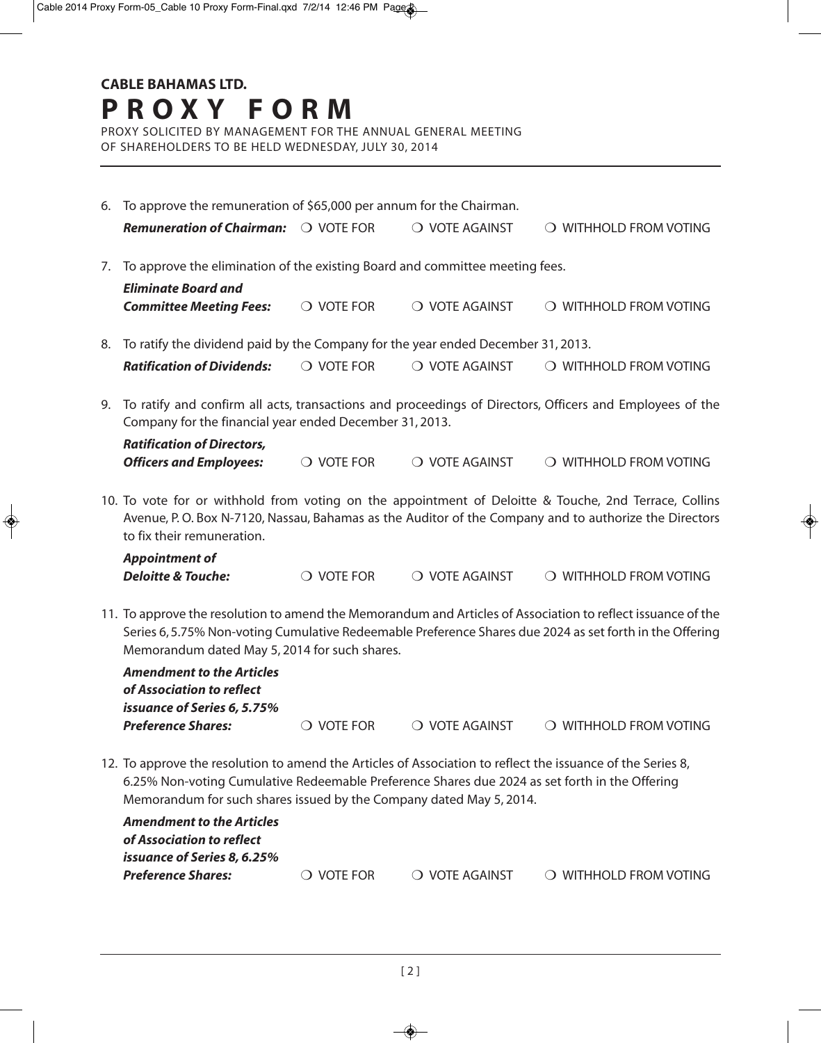PROXY SOLICITED BY MANAGEMENT FOR THE ANNUAL GENERAL MEETING OF SHAREHOLDERS TO BE HELD WEDNESDAY, JULY 30, 2014

|                                                                                                                                                                                                                                                                                      | 6. To approve the remuneration of \$65,000 per annum for the Chairman.                                                                                                                                                                                                    |                     |                |                        |  |  |
|--------------------------------------------------------------------------------------------------------------------------------------------------------------------------------------------------------------------------------------------------------------------------------------|---------------------------------------------------------------------------------------------------------------------------------------------------------------------------------------------------------------------------------------------------------------------------|---------------------|----------------|------------------------|--|--|
|                                                                                                                                                                                                                                                                                      | <b>Remuneration of Chairman:</b>                                                                                                                                                                                                                                          | O VOTE FOR          | O VOTE AGAINST | O WITHHOLD FROM VOTING |  |  |
| 7.                                                                                                                                                                                                                                                                                   | To approve the elimination of the existing Board and committee meeting fees.<br><b>Eliminate Board and</b>                                                                                                                                                                |                     |                |                        |  |  |
|                                                                                                                                                                                                                                                                                      | <b>Committee Meeting Fees:</b>                                                                                                                                                                                                                                            | $\bigcirc$ vote for | O VOTE AGAINST | O WITHHOLD FROM VOTING |  |  |
| To ratify the dividend paid by the Company for the year ended December 31, 2013.<br>8.                                                                                                                                                                                               |                                                                                                                                                                                                                                                                           |                     |                |                        |  |  |
|                                                                                                                                                                                                                                                                                      | <b>Ratification of Dividends:</b>                                                                                                                                                                                                                                         | $\bigcirc$ vote for | O VOTE AGAINST | O WITHHOLD FROM VOTING |  |  |
| 9.                                                                                                                                                                                                                                                                                   | To ratify and confirm all acts, transactions and proceedings of Directors, Officers and Employees of the<br>Company for the financial year ended December 31, 2013.                                                                                                       |                     |                |                        |  |  |
|                                                                                                                                                                                                                                                                                      | <b>Ratification of Directors,</b><br><b>Officers and Employees:</b>                                                                                                                                                                                                       | $\bigcirc$ vote for | O VOTE AGAINST | O WITHHOLD FROM VOTING |  |  |
|                                                                                                                                                                                                                                                                                      | 10. To vote for or withhold from voting on the appointment of Deloitte & Touche, 2nd Terrace, Collins<br>Avenue, P.O. Box N-7120, Nassau, Bahamas as the Auditor of the Company and to authorize the Directors<br>to fix their remuneration.                              |                     |                |                        |  |  |
|                                                                                                                                                                                                                                                                                      | <b>Appointment of</b><br><b>Deloitte &amp; Touche:</b>                                                                                                                                                                                                                    | $\bigcirc$ vote for | O VOTE AGAINST | O WITHHOLD FROM VOTING |  |  |
|                                                                                                                                                                                                                                                                                      | 11. To approve the resolution to amend the Memorandum and Articles of Association to reflect issuance of the<br>Series 6, 5.75% Non-voting Cumulative Redeemable Preference Shares due 2024 as set forth in the Offering<br>Memorandum dated May 5, 2014 for such shares. |                     |                |                        |  |  |
|                                                                                                                                                                                                                                                                                      | <b>Amendment to the Articles</b><br>of Association to reflect<br>issuance of Series 6, 5.75%                                                                                                                                                                              |                     |                |                        |  |  |
|                                                                                                                                                                                                                                                                                      | <b>Preference Shares:</b>                                                                                                                                                                                                                                                 | $\bigcirc$ vote for | O VOTE AGAINST | O WITHHOLD FROM VOTING |  |  |
| 12. To approve the resolution to amend the Articles of Association to reflect the issuance of the Series 8,<br>6.25% Non-voting Cumulative Redeemable Preference Shares due 2024 as set forth in the Offering<br>Memorandum for such shares issued by the Company dated May 5, 2014. |                                                                                                                                                                                                                                                                           |                     |                |                        |  |  |
|                                                                                                                                                                                                                                                                                      | <b>Amendment to the Articles</b><br>of Association to reflect                                                                                                                                                                                                             |                     |                |                        |  |  |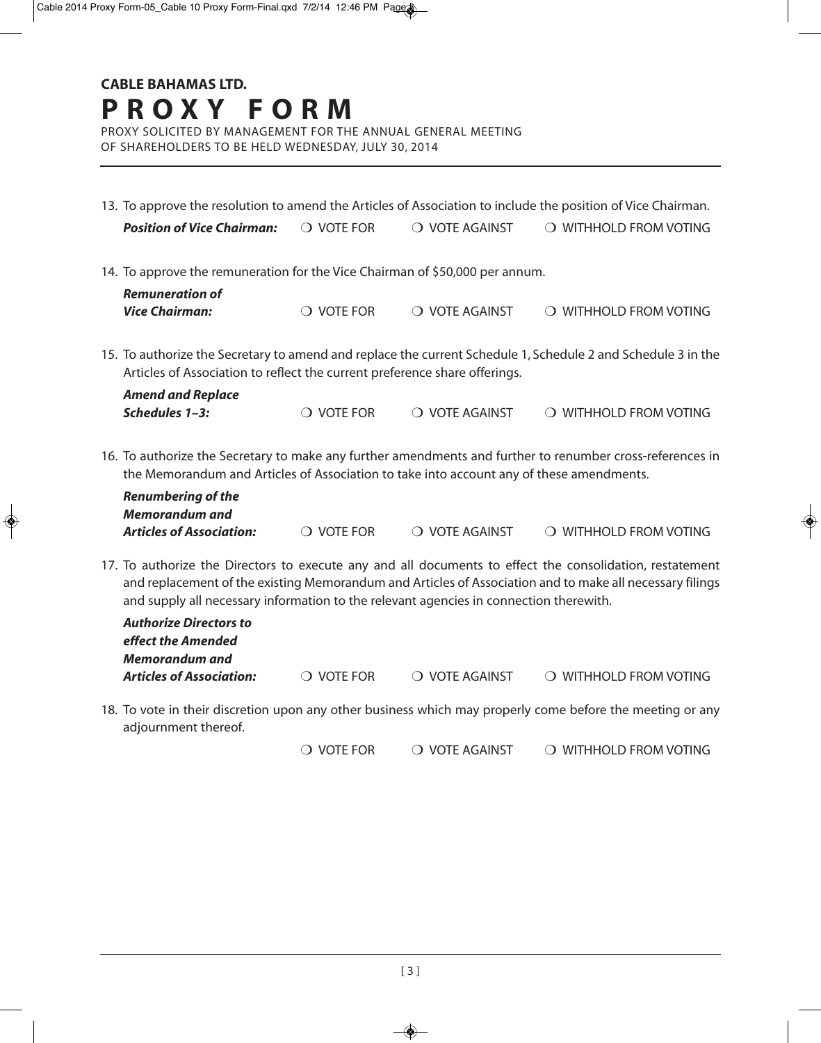PROXY SOLICITED BY MANAGEMENT FOR THE ANNUAL GENERAL MEETING OF SHAREHOLDERS TO BE HELD WEDNESDAY, JULY 30, 2014

| 13. To approve the resolution to amend the Articles of Association to include the position of Vice Chairman.                                                                                                           |                                                                                                           |                         |                                                                                                                                                                                                                      |  |  |
|------------------------------------------------------------------------------------------------------------------------------------------------------------------------------------------------------------------------|-----------------------------------------------------------------------------------------------------------|-------------------------|----------------------------------------------------------------------------------------------------------------------------------------------------------------------------------------------------------------------|--|--|
| <b>Position of Vice Chairman:</b>                                                                                                                                                                                      | O VOTE FOR                                                                                                | O VOTE AGAINST          | O WITHHOLD FROM VOTING                                                                                                                                                                                               |  |  |
| 14. To approve the remuneration for the Vice Chairman of \$50,000 per annum.                                                                                                                                           |                                                                                                           |                         |                                                                                                                                                                                                                      |  |  |
| <b>Remuneration of</b><br><b>Vice Chairman:</b>                                                                                                                                                                        | $\bigcirc$ vote for                                                                                       | O VOTE AGAINST          | O WITHHOLD FROM VOTING                                                                                                                                                                                               |  |  |
| 15. To authorize the Secretary to amend and replace the current Schedule 1, Schedule 2 and Schedule 3 in the<br>Articles of Association to reflect the current preference share offerings.<br><b>Amend and Replace</b> |                                                                                                           |                         |                                                                                                                                                                                                                      |  |  |
| Schedules 1-3:                                                                                                                                                                                                         | $\bigcirc$ vote for                                                                                       | O VOTE AGAINST          | O WITHHOLD FROM VOTING                                                                                                                                                                                               |  |  |
| the Memorandum and Articles of Association to take into account any of these amendments.                                                                                                                               | 16. To authorize the Secretary to make any further amendments and further to renumber cross-references in |                         |                                                                                                                                                                                                                      |  |  |
| <b>Renumbering of the</b><br><b>Memorandum and</b>                                                                                                                                                                     |                                                                                                           |                         |                                                                                                                                                                                                                      |  |  |
| <b>Articles of Association:</b>                                                                                                                                                                                        | $\bigcirc$ vote for                                                                                       | $\bigcirc$ vote against | O WITHHOLD FROM VOTING                                                                                                                                                                                               |  |  |
| and supply all necessary information to the relevant agencies in connection therewith.                                                                                                                                 |                                                                                                           |                         | 17. To authorize the Directors to execute any and all documents to effect the consolidation, restatement<br>and replacement of the existing Memorandum and Articles of Association and to make all necessary filings |  |  |

| <b>Authorize Directors to</b><br>effect the Amended |                     |                        |                        |
|-----------------------------------------------------|---------------------|------------------------|------------------------|
| Memorandum and<br><b>Articles of Association:</b>   | $\bigcirc$ vote for | $\circ$ o vote against | O WITHHOLD FROM VOTING |

18. To vote in their discretion upon any other business which may properly come before the meeting or any adjournment thereof.

 $\overline{O}$  vote for  $\overline{O}$  vote against  $\overline{O}$  withhold from voting